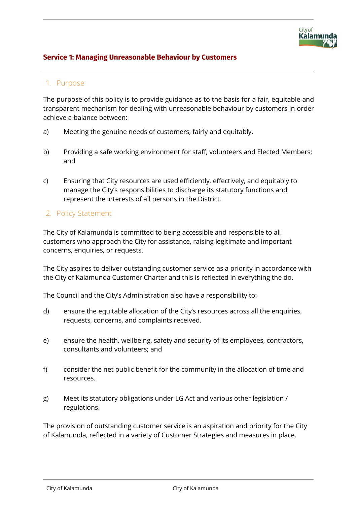## **Service 1: Managing Unreasonable Behaviour by Customers**

## 1. Purpose

The purpose of this policy is to provide guidance as to the basis for a fair, equitable and transparent mechanism for dealing with unreasonable behaviour by customers in order achieve a balance between:

- a) Meeting the genuine needs of customers, fairly and equitably.
- b) Providing a safe working environment for staff, volunteers and Elected Members; and
- c) Ensuring that City resources are used efficiently, effectively, and equitably to manage the City's responsibilities to discharge its statutory functions and represent the interests of all persons in the District.
- 2. Policy Statement

The City of Kalamunda is committed to being accessible and responsible to all customers who approach the City for assistance, raising legitimate and important concerns, enquiries, or requests.

The City aspires to deliver outstanding customer service as a priority in accordance with the City of Kalamunda Customer Charter and this is reflected in everything the do.

The Council and the City's Administration also have a responsibility to:

- d) ensure the equitable allocation of the City's resources across all the enquiries, requests, concerns, and complaints received.
- e) ensure the health. wellbeing, safety and security of its employees, contractors, consultants and volunteers; and
- f) consider the net public benefit for the community in the allocation of time and resources.
- g) Meet its statutory obligations under LG Act and various other legislation / regulations.

The provision of outstanding customer service is an aspiration and priority for the City of Kalamunda, reflected in a variety of Customer Strategies and measures in place.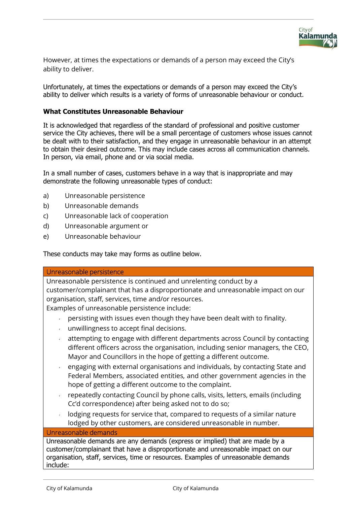

However, at times the expectations or demands of a person may exceed the City's ability to deliver.

Unfortunately, at times the expectations or demands of a person may exceed the City's ability to deliver which results is a variety of forms of unreasonable behaviour or conduct.

#### **What Constitutes Unreasonable Behaviour**

It is acknowledged that regardless of the standard of professional and positive customer service the City achieves, there will be a small percentage of customers whose issues cannot be dealt with to their satisfaction, and they engage in unreasonable behaviour in an attempt to obtain their desired outcome. This may include cases across all communication channels. In person, via email, phone and or via social media.

In a small number of cases, customers behave in a way that is inappropriate and may demonstrate the following unreasonable types of conduct:

- a) Unreasonable persistence
- b) Unreasonable demands
- c) Unreasonable lack of cooperation
- d) Unreasonable argument or
- e) Unreasonable behaviour

These conducts may take may forms as outline below.

#### Unreasonable persistence

Unreasonable persistence is continued and unrelenting conduct by a customer/complainant that has a disproportionate and unreasonable impact on our organisation, staff, services, time and/or resources.

Examples of unreasonable persistence include:

- persisting with issues even though they have been dealt with to finality.
- unwillingness to accept final decisions.
- attempting to engage with different departments across Council by contacting different officers across the organisation, including senior managers, the CEO, Mayor and Councillors in the hope of getting a different outcome.
- engaging with external organisations and individuals, by contacting State and Federal Members, associated entities, and other government agencies in the hope of getting a different outcome to the complaint.
- repeatedly contacting Council by phone calls, visits, letters, emails (including Cc'd correspondence) after being asked not to do so;
- lodging requests for service that, compared to requests of a similar nature lodged by other customers, are considered unreasonable in number.

### Unreasonable demands

Unreasonable demands are any demands (express or implied) that are made by a customer/complainant that have a disproportionate and unreasonable impact on our organisation, staff, services, time or resources. Examples of unreasonable demands include: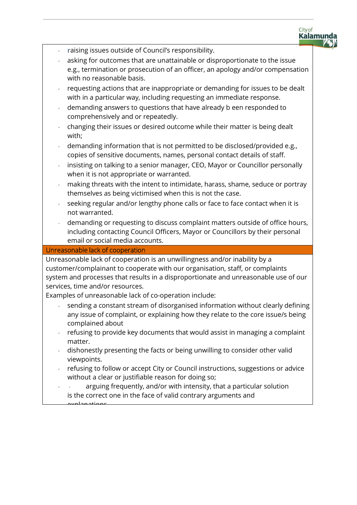

- raising issues outside of Council's responsibility.
- asking for outcomes that are unattainable or disproportionate to the issue e.g., termination or prosecution of an officer, an apology and/or compensation with no reasonable basis.
- requesting actions that are inappropriate or demanding for issues to be dealt with in a particular way, including requesting an immediate response.
- demanding answers to questions that have already b een responded to comprehensively and or repeatedly.
- changing their issues or desired outcome while their matter is being dealt with;
- demanding information that is not permitted to be disclosed/provided e.g., copies of sensitive documents, names, personal contact details of staff.
- insisting on talking to a senior manager, CEO, Mayor or Councillor personally when it is not appropriate or warranted.
- making threats with the intent to intimidate, harass, shame, seduce or portray themselves as being victimised when this is not the case.
- seeking regular and/or lengthy phone calls or face to face contact when it is not warranted.
- demanding or requesting to discuss complaint matters outside of office hours, including contacting Council Officers, Mayor or Councillors by their personal email or social media accounts.

#### Unreasonable lack of cooperation

Unreasonable lack of cooperation is an unwillingness and/or inability by a customer/complainant to cooperate with our organisation, staff, or complaints system and processes that results in a disproportionate and unreasonable use of our services, time and/or resources.

Examples of unreasonable lack of co-operation include:

- sending a constant stream of disorganised information without clearly defining any issue of complaint, or explaining how they relate to the core issue/s being complained about
- refusing to provide key documents that would assist in managing a complaint matter.
- $\sim$  dishonestly presenting the facts or being unwilling to consider other valid viewpoints.
- refusing to follow or accept City or Council instructions, suggestions or advice without a clear or justifiable reason for doing so:
- arguing frequently, and/or with intensity, that a particular solution is the correct one in the face of valid contrary arguments and explanations.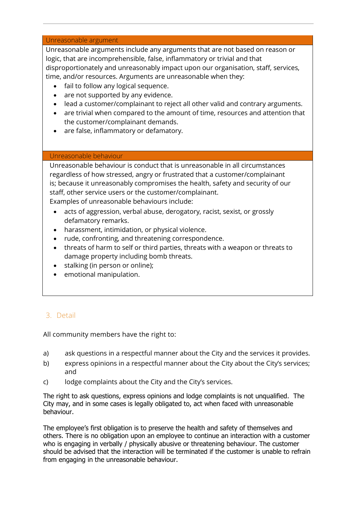#### Unreasonable argument

Unreasonable arguments include any arguments that are not based on reason or logic, that are incomprehensible, false, inflammatory or trivial and that disproportionately and unreasonably impact upon our organisation, staff, services, time, and/or resources. Arguments are unreasonable when they:

- fail to follow any logical sequence.
- are not supported by any evidence.
- lead a customer/complainant to reject all other valid and contrary arguments.
- are trivial when compared to the amount of time, resources and attention that the customer/complainant demands.
- are false, inflammatory or defamatory.

#### Unreasonable behaviour

Unreasonable behaviour is conduct that is unreasonable in all circumstances regardless of how stressed, angry or frustrated that a customer/complainant is; because it unreasonably compromises the health, safety and security of our staff, other service users or the customer/complainant. Examples of unreasonable behaviours include:

- acts of aggression, verbal abuse, derogatory, racist, sexist, or grossly defamatory remarks.
- harassment, intimidation, or physical violence.
- rude, confronting, and threatening correspondence.
- threats of harm to self or third parties, threats with a weapon or threats to damage property including bomb threats.
- stalking (in person or online);
- emotional manipulation.

# 3. Detail

All community members have the right to:

- a) ask questions in a respectful manner about the City and the services it provides.
- b) express opinions in a respectful manner about the City about the City's services; and
- c) lodge complaints about the City and the City's services.

The right to ask questions, express opinions and lodge complaints is not unqualified. The City may, and in some cases is legally obligated to, act when faced with unreasonable behaviour.

The employee's first obligation is to preserve the health and safety of themselves and others. There is no obligation upon an employee to continue an interaction with a customer who is engaging in verbally / physically abusive or threatening behaviour. The customer should be advised that the interaction will be terminated if the customer is unable to refrain from engaging in the unreasonable behaviour.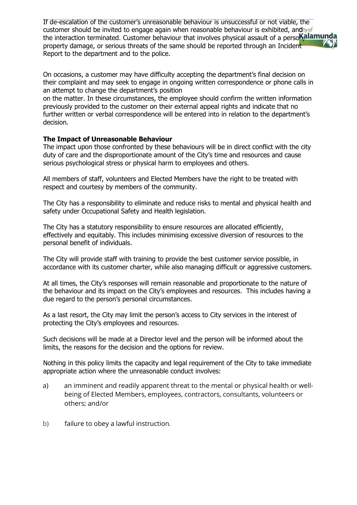If de-escalation of the customer's unreasonable behaviour is unsuccessful or not viable, the customer should be invited to engage again when reasonable behaviour is exhibited, and ty of the interaction terminated. Customer behaviour that involves physical assault of a persolial and particle in property damage, or serious threats of the same should be reported through an Incident Report to the department and to the police.

On occasions, a customer may have difficulty accepting the department's final decision on their complaint and may seek to engage in ongoing written correspondence or phone calls in an attempt to change the department's position

on the matter. In these circumstances, the employee should confirm the written information previously provided to the customer on their external appeal rights and indicate that no further written or verbal correspondence will be entered into in relation to the department's decision.

### **The Impact of Unreasonable Behaviour**

The impact upon those confronted by these behaviours will be in direct conflict with the city duty of care and the disproportionate amount of the City's time and resources and cause serious psychological stress or physical harm to employees and others.

All members of staff, volunteers and Elected Members have the right to be treated with respect and courtesy by members of the community.

The City has a responsibility to eliminate and reduce risks to mental and physical health and safety under Occupational Safety and Health legislation.

The City has a statutory responsibility to ensure resources are allocated efficiently, effectively and equitably. This includes minimising excessive diversion of resources to the personal benefit of individuals.

The City will provide staff with training to provide the best customer service possible, in accordance with its customer charter, while also managing difficult or aggressive customers.

At all times, the City's responses will remain reasonable and proportionate to the nature of the behaviour and its impact on the City's employees and resources. This includes having a due regard to the person's personal circumstances.

As a last resort, the City may limit the person's access to City services in the interest of protecting the City's employees and resources.

Such decisions will be made at a Director level and the person will be informed about the limits, the reasons for the decision and the options for review.

Nothing in this policy limits the capacity and legal requirement of the City to take immediate appropriate action where the unreasonable conduct involves:

- a) an imminent and readily apparent threat to the mental or physical health or wellbeing of Elected Members, employees, contractors, consultants, volunteers or others; and/or
- b) failure to obey a lawful instruction.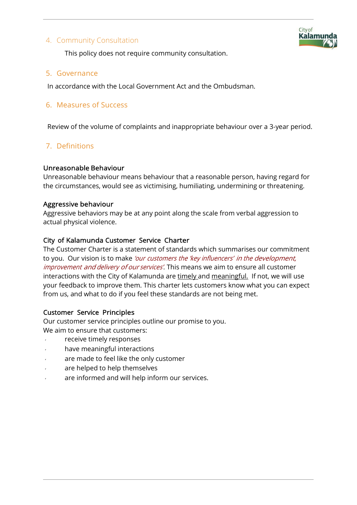## 4. Community Consultation



This policy does not require community consultation.

### 5. Governance

In accordance with the Local Government Act and the Ombudsman.

## 6. Measures of Success

Review of the volume of complaints and inappropriate behaviour over a 3-year period.

## 7. Definitions

### Unreasonable Behaviour

Unreasonable behaviour means behaviour that a reasonable person, having regard for the circumstances, would see as victimising, humiliating, undermining or threatening.

### Aggressive behaviour

Aggressive behaviors may be at any point along the scale from verbal aggression to actual physical violence.

### City of Kalamunda Customer Service Charter

The Customer Charter is a statement of standards which summarises our commitment to you. Our vision is to make 'our customers the 'key influencers' in the development, improvement and delivery of our services'. This means we aim to ensure all customer interactions with the City of Kalamunda are timely and meaningful. If not, we will use your feedback to improve them. This charter lets customers know what you can expect from us, and what to do if you feel these standards are not being met.

### Customer Service Principles

Our customer service principles outline our promise to you. We aim to ensure that customers:

- receive timely responses
- have meaningful interactions
- are made to feel like the only customer
- are helped to help themselves
- are informed and will help inform our services.